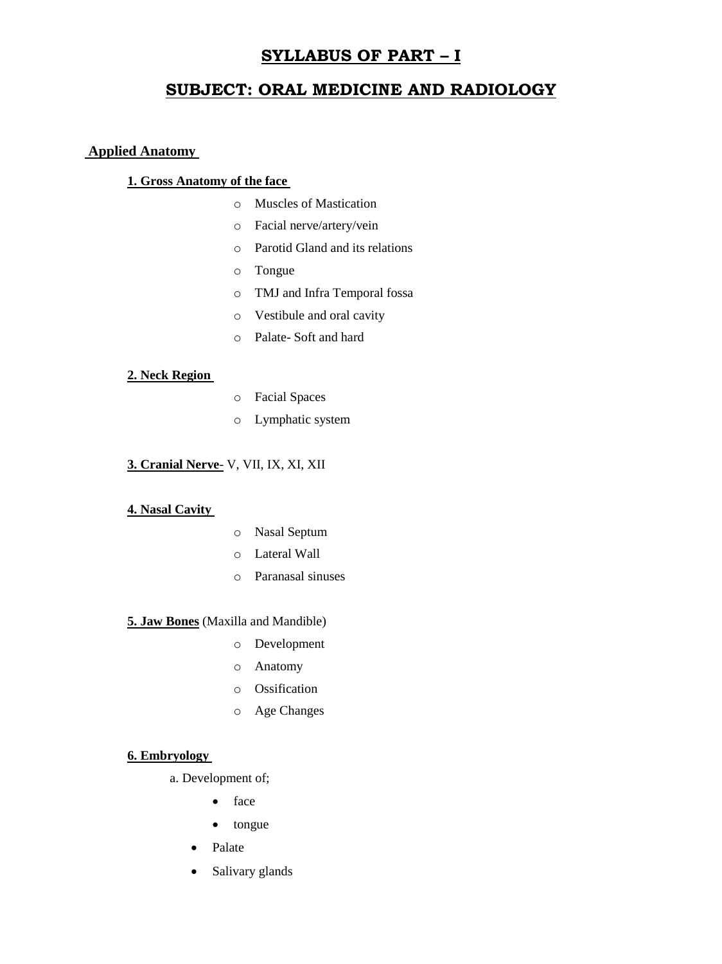# **SYLLABUS OF PART – I**

# **SUBJECT: ORAL MEDICINE AND RADIOLOGY**

## **Applied Anatomy**

# **1. Gross Anatomy of the face**

- o Muscles of Mastication
- o Facial nerve/artery/vein
- o Parotid Gland and its relations
- o Tongue
- o TMJ and Infra Temporal fossa
- o Vestibule and oral cavity
- o Palate- Soft and hard

### **2. Neck Region**

- o Facial Spaces
- o Lymphatic system

# **3. Cranial Nerve**- V, VII, IX, XI, XII

#### **4. Nasal Cavity**

- o Nasal Septum
- o Lateral Wall
- o Paranasal sinuses

### **5. Jaw Bones** (Maxilla and Mandible)

- o Development
- o Anatomy
- o Ossification
- o Age Changes

#### **6. Embryology**

- a. Development of;
	- face
	- tongue
	- Palate
	- Salivary glands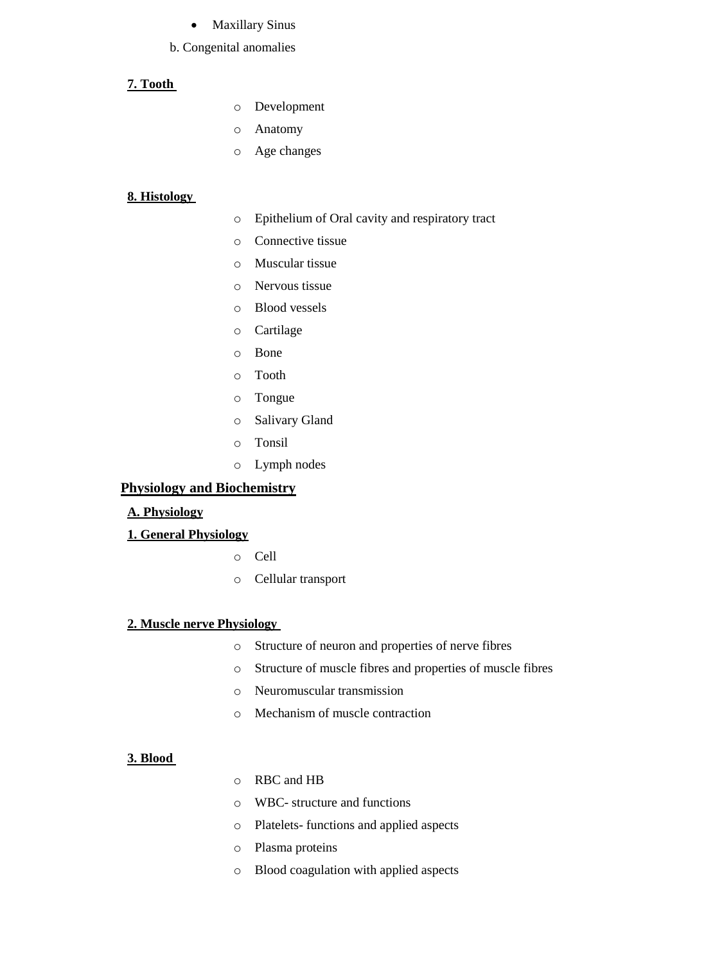#### Maxillary Sinus

#### b. Congenital anomalies

### **7. Tooth**

- o Development
- o Anatomy
- o Age changes

#### **8. Histology**

- o Epithelium of Oral cavity and respiratory tract
- o Connective tissue
- o Muscular tissue
- o Nervous tissue
- o Blood vessels
- o Cartilage
- o Bone
- o Tooth
- o Tongue
- o Salivary Gland
- o Tonsil
- o Lymph nodes

### **Physiology and Biochemistry**

#### **A. Physiology**

### **1. General Physiology**

- o Cell
- o Cellular transport

## **2. Muscle nerve Physiology**

- o Structure of neuron and properties of nerve fibres
- o Structure of muscle fibres and properties of muscle fibres
- o Neuromuscular transmission
- o Mechanism of muscle contraction

#### **3. Blood**

- o RBC and HB
- o WBC- structure and functions
- o Platelets- functions and applied aspects
- o Plasma proteins
- o Blood coagulation with applied aspects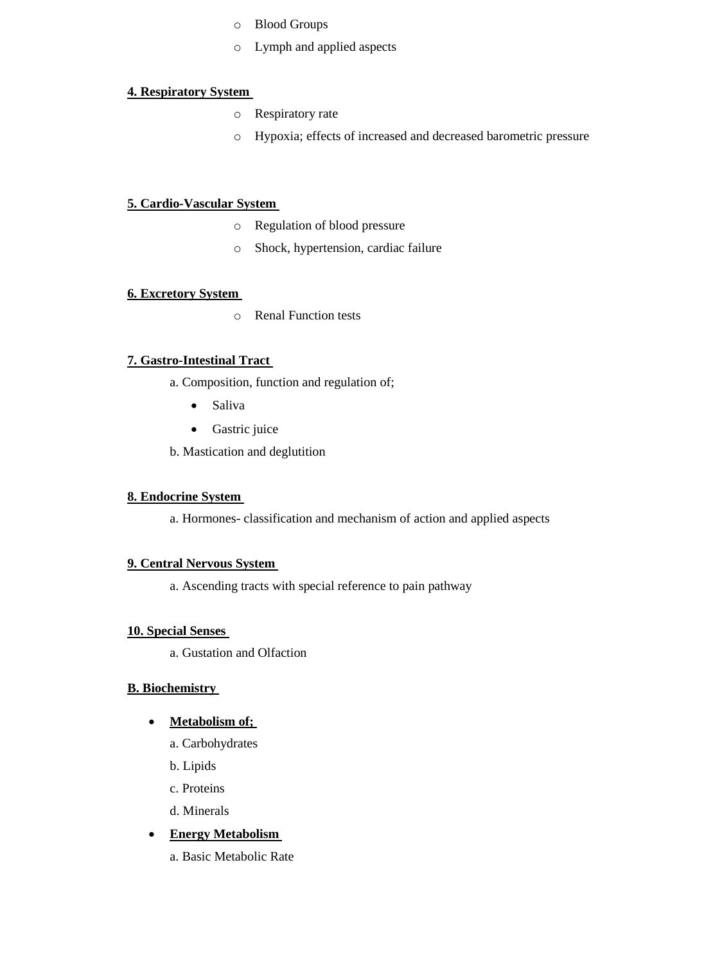- o Blood Groups
- o Lymph and applied aspects

# **4. Respiratory System**

- o Respiratory rate
- o Hypoxia; effects of increased and decreased barometric pressure

## **5. Cardio-Vascular System**

- o Regulation of blood pressure
- o Shock, hypertension, cardiac failure

### **6. Excretory System**

o Renal Function tests

# **7. Gastro-Intestinal Tract**

- a. Composition, function and regulation of;
	- Saliva
	- Gastric juice
- b. Mastication and deglutition

# **8. Endocrine System**

a. Hormones- classification and mechanism of action and applied aspects

#### **9. Central Nervous System**

a. Ascending tracts with special reference to pain pathway

## **10. Special Senses**

a. Gustation and Olfaction

# **B. Biochemistry**

#### **Metabolism of;**

- a. Carbohydrates
- b. Lipids
- c. Proteins
- d. Minerals
- **Energy Metabolism** 
	- a. Basic Metabolic Rate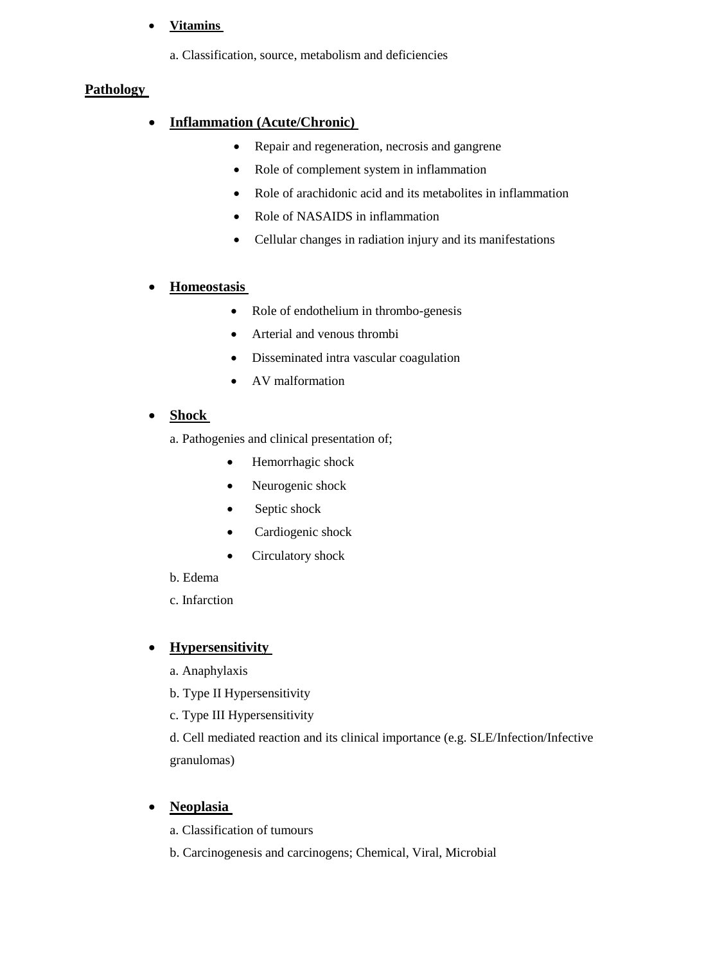# **Vitamins**

a. Classification, source, metabolism and deficiencies

# **Pathology**

# **Inflammation (Acute/Chronic)**

- Repair and regeneration, necrosis and gangrene
- Role of complement system in inflammation
- Role of arachidonic acid and its metabolites in inflammation
- Role of NASAIDS in inflammation
- Cellular changes in radiation injury and its manifestations

# **Homeostasis**

- Role of endothelium in thrombo-genesis
- Arterial and venous thrombi
- Disseminated intra vascular coagulation
- AV malformation

# **Shock**

a. Pathogenies and clinical presentation of;

- Hemorrhagic shock
- Neurogenic shock
- Septic shock
- Cardiogenic shock
- Circulatory shock
- b. Edema
- c. Infarction

# **Hypersensitivity**

- a. Anaphylaxis
- b. Type II Hypersensitivity
- c. Type III Hypersensitivity

d. Cell mediated reaction and its clinical importance (e.g. SLE/Infection/Infective granulomas)

# **Neoplasia**

- a. Classification of tumours
- b. Carcinogenesis and carcinogens; Chemical, Viral, Microbial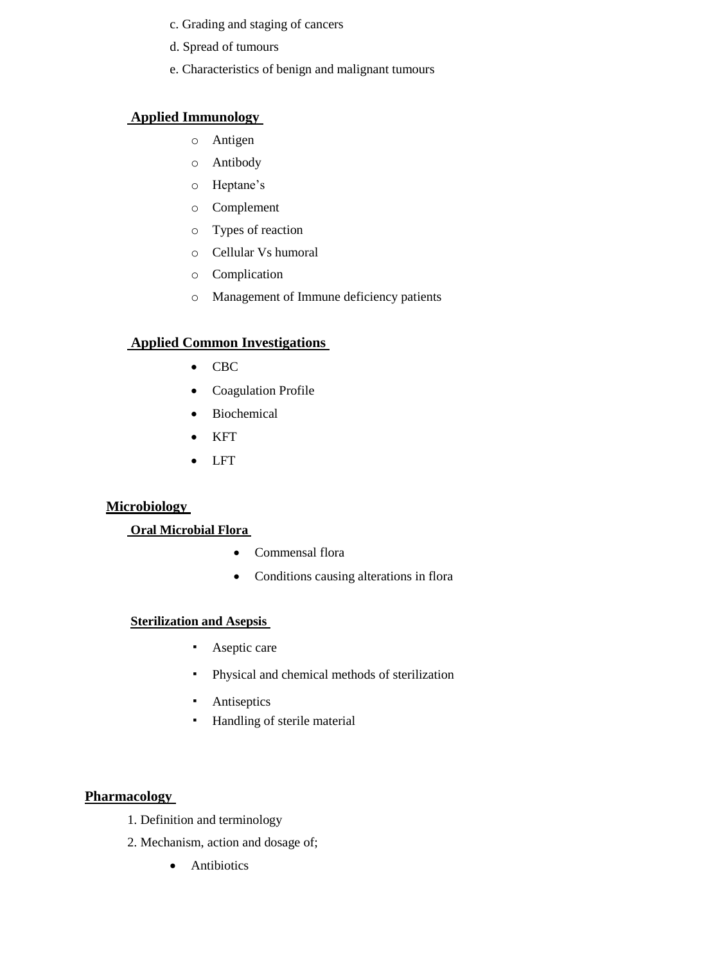- c. Grading and staging of cancers
- d. Spread of tumours
- e. Characteristics of benign and malignant tumours

# **Applied Immunology**

- o Antigen
- o Antibody
- o Heptane's
- o Complement
- o Types of reaction
- o Cellular Vs humoral
- o Complication
- o Management of Immune deficiency patients

# **Applied Common Investigations**

- CBC
- Coagulation Profile
- Biochemical
- KFT
- LFT

# **Microbiology**

# **Oral Microbial Flora**

- Commensal flora
- Conditions causing alterations in flora

# **Sterilization and Asepsis**

- Aseptic care
- Physical and chemical methods of sterilization
- **•** Antiseptics
- Handling of sterile material

# **Pharmacology**

- 1. Definition and terminology
- 2. Mechanism, action and dosage of;
	- Antibiotics